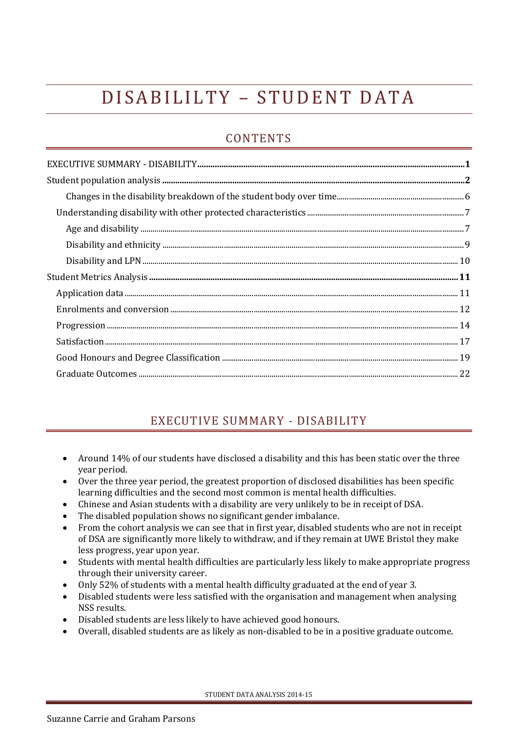# D I SABILILTY - STUDENT DATA

# **CONTENTS**

# EXECUTIVE SUMMARY - DISABILITY

- <span id="page-0-0"></span> Around 14% of our students have disclosed a disability and this has been static over the three year period.
- Over the three year period, the greatest proportion of disclosed disabilities has been specific learning difficulties and the second most common is mental health difficulties.
- Chinese and Asian students with a disability are very unlikely to be in receipt of DSA.
- The disabled population shows no significant gender imbalance.
- From the cohort analysis we can see that in first year, disabled students who are not in receipt of DSA are significantly more likely to withdraw, and if they remain at UWE Bristol they make less progress, year upon year.
- Students with mental health difficulties are particularly less likely to make appropriate progress through their university career.
- Only 52% of students with a mental health difficulty graduated at the end of year 3.
- Disabled students were less satisfied with the organisation and management when analysing NSS results.
- Disabled students are less likely to have achieved good honours.
- Overall, disabled students are as likely as non-disabled to be in a positive graduate outcome.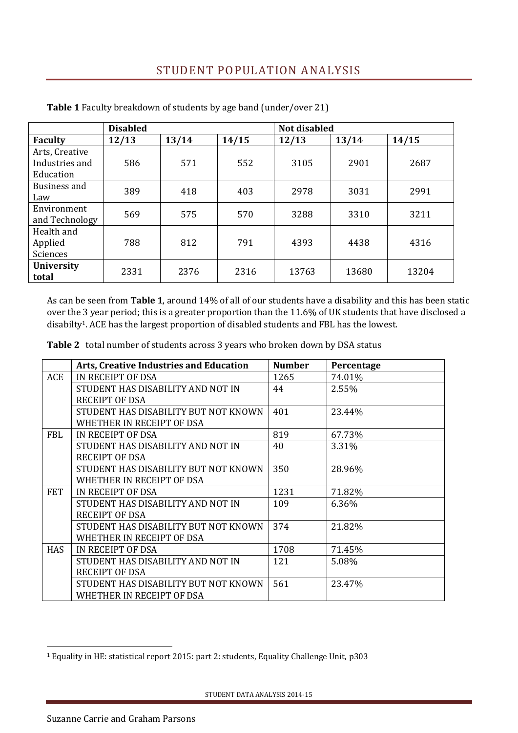# STUDENT POPULATION ANALYSIS

|                   | <b>Disabled</b> |       |       | <b>Not disabled</b> |       |       |
|-------------------|-----------------|-------|-------|---------------------|-------|-------|
| <b>Faculty</b>    | 12/13           | 13/14 | 14/15 | 12/13               | 13/14 | 14/15 |
| Arts, Creative    |                 |       |       |                     |       |       |
| Industries and    | 586             | 571   | 552   | 3105                | 2901  | 2687  |
| Education         |                 |       |       |                     |       |       |
| Business and      | 389             | 418   | 403   | 2978                | 3031  | 2991  |
| Law               |                 |       |       |                     |       |       |
| Environment       | 569             | 575   | 570   | 3288                | 3310  | 3211  |
| and Technology    |                 |       |       |                     |       |       |
| Health and        |                 |       |       |                     |       |       |
| Applied           | 788             | 812   | 791   | 4393                | 4438  | 4316  |
| Sciences          |                 |       |       |                     |       |       |
| <b>University</b> |                 |       |       |                     |       |       |
| total             | 2331            | 2376  | 2316  | 13763               | 13680 | 13204 |

<span id="page-1-0"></span>**Table 1** Faculty breakdown of students by age band (under/over 21)

As can be seen from **Table 1**, around 14% of all of our students have a disability and this has been static over the 3 year period; this is a greater proportion than the 11.6% of UK students that have disclosed a disabilty1. ACE has the largest proportion of disabled students and FBL has the lowest.

**Table 2** total number of students across 3 years who broken down by DSA status

|            | <b>Arts, Creative Industries and Education</b> | <b>Number</b> | Percentage |
|------------|------------------------------------------------|---------------|------------|
| <b>ACE</b> | IN RECEIPT OF DSA                              | 1265          | 74.01%     |
|            | STUDENT HAS DISABILITY AND NOT IN              | 44            | 2.55%      |
|            | <b>RECEIPT OF DSA</b>                          |               |            |
|            | STUDENT HAS DISABILITY BUT NOT KNOWN           | 401           | 23.44%     |
|            | WHETHER IN RECEIPT OF DSA                      |               |            |
| <b>FBL</b> | IN RECEIPT OF DSA                              | 819           | 67.73%     |
|            | STUDENT HAS DISABILITY AND NOT IN              | 40            | 3.31%      |
|            | <b>RECEIPT OF DSA</b>                          |               |            |
|            | STUDENT HAS DISABILITY BUT NOT KNOWN           | 350           | 28.96%     |
|            | WHETHER IN RECEIPT OF DSA                      |               |            |
| <b>FET</b> | IN RECEIPT OF DSA                              | 1231          | 71.82%     |
|            | STUDENT HAS DISABILITY AND NOT IN              | 109           | 6.36%      |
|            | <b>RECEIPT OF DSA</b>                          |               |            |
|            | STUDENT HAS DISABILITY BUT NOT KNOWN           | 374           | 21.82%     |
|            | WHETHER IN RECEIPT OF DSA                      |               |            |
| <b>HAS</b> | IN RECEIPT OF DSA                              | 1708          | 71.45%     |
|            | STUDENT HAS DISABILITY AND NOT IN              | 121           | 5.08%      |
|            | <b>RECEIPT OF DSA</b>                          |               |            |
|            | STUDENT HAS DISABILITY BUT NOT KNOWN           | 561           | 23.47%     |
|            | WHETHER IN RECEIPT OF DSA                      |               |            |

<u>.</u>

<sup>1</sup> Equality in HE: statistical report 2015: part 2: students, Equality Challenge Unit, p303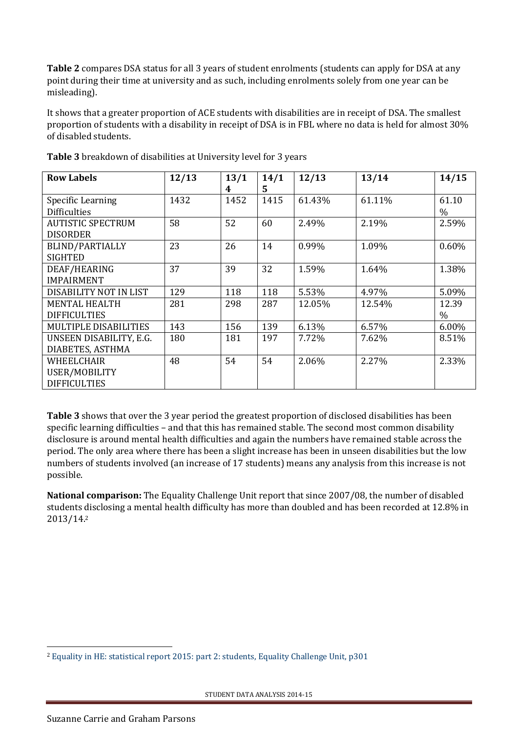**Table 2** compares DSA status for all 3 years of student enrolments (students can apply for DSA at any point during their time at university and as such, including enrolments solely from one year can be misleading).

It shows that a greater proportion of ACE students with disabilities are in receipt of DSA. The smallest proportion of students with a disability in receipt of DSA is in FBL where no data is held for almost 30% of disabled students.

| <b>Row Labels</b>            | 12/13 | 13/1 | 14/1 | 12/13  | 13/14  | 14/15         |
|------------------------------|-------|------|------|--------|--------|---------------|
|                              |       | 4    | 5.   |        |        |               |
| Specific Learning            | 1432  | 1452 | 1415 | 61.43% | 61.11% | 61.10         |
| <b>Difficulties</b>          |       |      |      |        |        | $\%$          |
| <b>AUTISTIC SPECTRUM</b>     | 58    | 52   | 60   | 2.49%  | 2.19%  | 2.59%         |
| <b>DISORDER</b>              |       |      |      |        |        |               |
| <b>BLIND/PARTIALLY</b>       | 23    | 26   | 14   | 0.99%  | 1.09%  | 0.60%         |
| <b>SIGHTED</b>               |       |      |      |        |        |               |
| DEAF/HEARING                 | 37    | 39   | 32   | 1.59%  | 1.64%  | 1.38%         |
| <b>IMPAIRMENT</b>            |       |      |      |        |        |               |
| DISABILITY NOT IN LIST       | 129   | 118  | 118  | 5.53%  | 4.97%  | 5.09%         |
| <b>MENTAL HEALTH</b>         | 281   | 298  | 287  | 12.05% | 12.54% | 12.39         |
| <b>DIFFICULTIES</b>          |       |      |      |        |        | $\frac{0}{0}$ |
| <b>MULTIPLE DISABILITIES</b> | 143   | 156  | 139  | 6.13%  | 6.57%  | 6.00%         |
| UNSEEN DISABILITY, E.G.      | 180   | 181  | 197  | 7.72%  | 7.62%  | 8.51%         |
| DIABETES, ASTHMA             |       |      |      |        |        |               |
| WHEELCHAIR                   | 48    | 54   | 54   | 2.06%  | 2.27%  | 2.33%         |
| USER/MOBILITY                |       |      |      |        |        |               |
| <b>DIFFICULTIES</b>          |       |      |      |        |        |               |

**Table 3** breakdown of disabilities at University level for 3 years

**Table 3** shows that over the 3 year period the greatest proportion of disclosed disabilities has been specific learning difficulties – and that this has remained stable. The second most common disability disclosure is around mental health difficulties and again the numbers have remained stable across the period. The only area where there has been a slight increase has been in unseen disabilities but the low numbers of students involved (an increase of 17 students) means any analysis from this increase is not possible.

**National comparison:** The Equality Challenge Unit report that since 2007/08, the number of disabled students disclosing a mental health difficulty has more than doubled and has been recorded at 12.8% in 2013/14.<sup>2</sup>

<sup>&</sup>lt;u>.</u> <sup>2</sup> [Equality in HE: statistical report 2015: part 2: students, Equality Challenge Unit, p301](http://www.ecu.ac.uk/wp-content/uploads/2015/11/Equality-in-higher-education-2015-STUDENTS-OSR.docx)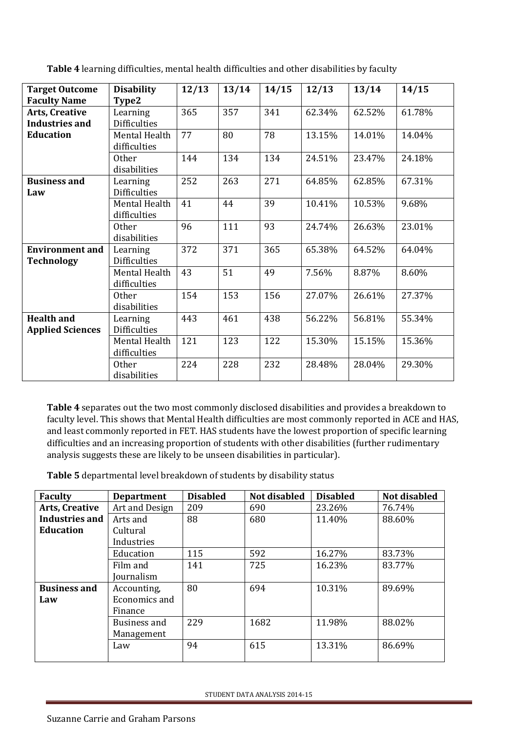| <b>Target Outcome</b>                          | <b>Disability</b>               | 12/13 | 13/14 | 14/15 | 12/13  | 13/14  | 14/15  |
|------------------------------------------------|---------------------------------|-------|-------|-------|--------|--------|--------|
| <b>Faculty Name</b>                            | Type2                           |       |       |       |        |        |        |
| <b>Arts, Creative</b><br><b>Industries and</b> | Learning<br><b>Difficulties</b> | 365   | 357   | 341   | 62.34% | 62.52% | 61.78% |
| <b>Education</b>                               | Mental Health<br>difficulties   | 77    | 80    | 78    | 13.15% | 14.01% | 14.04% |
|                                                | <b>Other</b><br>disabilities    | 144   | 134   | 134   | 24.51% | 23.47% | 24.18% |
| <b>Business and</b><br>Law                     | Learning<br><b>Difficulties</b> | 252   | 263   | 271   | 64.85% | 62.85% | 67.31% |
|                                                | Mental Health<br>difficulties   | 41    | 44    | 39    | 10.41% | 10.53% | 9.68%  |
|                                                | <b>Other</b><br>disabilities    | 96    | 111   | 93    | 24.74% | 26.63% | 23.01% |
| <b>Environment</b> and<br><b>Technology</b>    | Learning<br><b>Difficulties</b> | 372   | 371   | 365   | 65.38% | 64.52% | 64.04% |
|                                                | Mental Health<br>difficulties   | 43    | 51    | 49    | 7.56%  | 8.87%  | 8.60%  |
|                                                | Other<br>disabilities           | 154   | 153   | 156   | 27.07% | 26.61% | 27.37% |
| <b>Health and</b><br><b>Applied Sciences</b>   | Learning<br><b>Difficulties</b> | 443   | 461   | 438   | 56.22% | 56.81% | 55.34% |
|                                                | Mental Health<br>difficulties   | 121   | 123   | 122   | 15.30% | 15.15% | 15.36% |
|                                                | <b>Other</b><br>disabilities    | 224   | 228   | 232   | 28.48% | 28.04% | 29.30% |

**Table 4** learning difficulties, mental health difficulties and other disabilities by faculty

**Table 4** separates out the two most commonly disclosed disabilities and provides a breakdown to faculty level. This shows that Mental Health difficulties are most commonly reported in ACE and HAS, and least commonly reported in FET. HAS students have the lowest proportion of specific learning difficulties and an increasing proportion of students with other disabilities (further rudimentary analysis suggests these are likely to be unseen disabilities in particular).

**Table 5** departmental level breakdown of students by disability status

| <b>Faculty</b>        | <b>Department</b> | <b>Disabled</b> | Not disabled | <b>Disabled</b> | Not disabled |
|-----------------------|-------------------|-----------------|--------------|-----------------|--------------|
| <b>Arts, Creative</b> | Art and Design    | 209             | 690          | 23.26%          | 76.74%       |
| Industries and        | Arts and          | 88              | 680          | 11.40%          | 88.60%       |
| <b>Education</b>      | Cultural          |                 |              |                 |              |
|                       | Industries        |                 |              |                 |              |
|                       | Education         | 115             | 592          | 16.27%          | 83.73%       |
|                       | Film and          | 141             | 725          | 16.23%          | 83.77%       |
|                       | <b>Journalism</b> |                 |              |                 |              |
| <b>Business and</b>   | Accounting,       | 80              | 694          | 10.31%          | 89.69%       |
| Law                   | Economics and     |                 |              |                 |              |
|                       | Finance           |                 |              |                 |              |
|                       | Business and      | 229             | 1682         | 11.98%          | 88.02%       |
|                       | Management        |                 |              |                 |              |
|                       | Law               | 94              | 615          | 13.31%          | 86.69%       |
|                       |                   |                 |              |                 |              |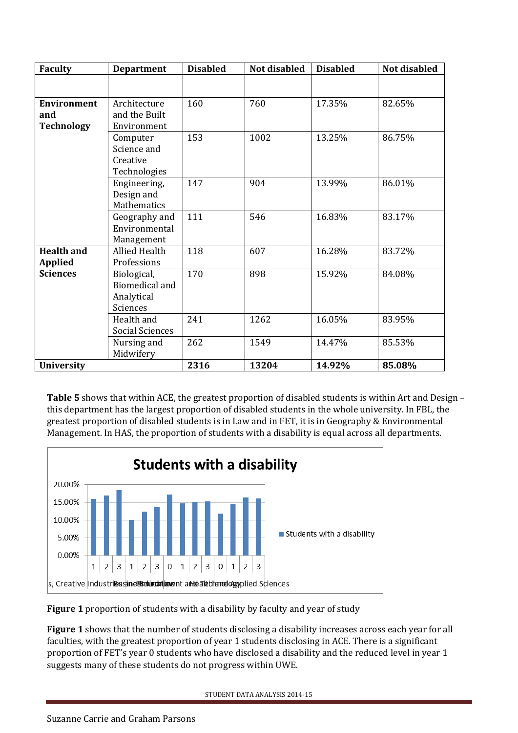| <b>Faculty</b>     | <b>Department</b>      | <b>Disabled</b> | Not disabled | <b>Disabled</b> | Not disabled |
|--------------------|------------------------|-----------------|--------------|-----------------|--------------|
|                    |                        |                 |              |                 |              |
|                    |                        |                 |              |                 |              |
| <b>Environment</b> | Architecture           | 160             | 760          | 17.35%          | 82.65%       |
| and                | and the Built          |                 |              |                 |              |
| <b>Technology</b>  | Environment            |                 |              |                 |              |
|                    | Computer               | 153             | 1002         | 13.25%          | 86.75%       |
|                    | Science and            |                 |              |                 |              |
|                    | Creative               |                 |              |                 |              |
|                    | Technologies           |                 |              |                 |              |
|                    | Engineering,           | 147             | 904          | 13.99%          | 86.01%       |
|                    | Design and             |                 |              |                 |              |
|                    | Mathematics            |                 |              |                 |              |
|                    | Geography and          | 111             | 546          | 16.83%          | 83.17%       |
|                    | Environmental          |                 |              |                 |              |
|                    | Management             |                 |              |                 |              |
| <b>Health and</b>  | <b>Allied Health</b>   | 118             | 607          | 16.28%          | 83.72%       |
| <b>Applied</b>     | Professions            |                 |              |                 |              |
| <b>Sciences</b>    | Biological,            | 170             | 898          | 15.92%          | 84.08%       |
|                    | <b>Biomedical and</b>  |                 |              |                 |              |
|                    | Analytical             |                 |              |                 |              |
|                    | Sciences               |                 |              |                 |              |
|                    | Health and             | 241             | 1262         | 16.05%          | 83.95%       |
|                    | <b>Social Sciences</b> |                 |              |                 |              |
|                    | Nursing and            | 262             | 1549         | 14.47%          | 85.53%       |
|                    | Midwifery              |                 |              |                 |              |
| <b>University</b>  |                        | 2316            | 13204        | 14.92%          | 85.08%       |

**Table 5** shows that within ACE, the greatest proportion of disabled students is within Art and Design – this department has the largest proportion of disabled students in the whole university. In FBL, the greatest proportion of disabled students is in Law and in FET, it is in Geography & Environmental Management. In HAS, the proportion of students with a disability is equal across all departments.



**Figure 1** proportion of students with a disability by faculty and year of study

**Figure 1** shows that the number of students disclosing a disability increases across each year for all faculties, with the greatest proportion of year 1 students disclosing in ACE. There is a significant proportion of FET's year 0 students who have disclosed a disability and the reduced level in year 1 suggests many of these students do not progress within UWE.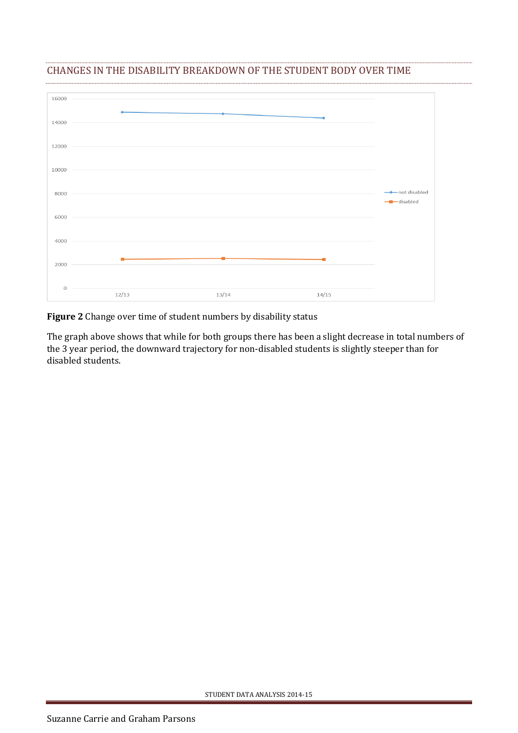

### <span id="page-5-0"></span>CHANGES IN THE DISABILITY BREAKDOWN OF THE STUDENT BODY OVER TIME

**Figure 2** Change over time of student numbers by disability status

The graph above shows that while for both groups there has been a slight decrease in total numbers of the 3 year period, the downward trajectory for non-disabled students is slightly steeper than for disabled students.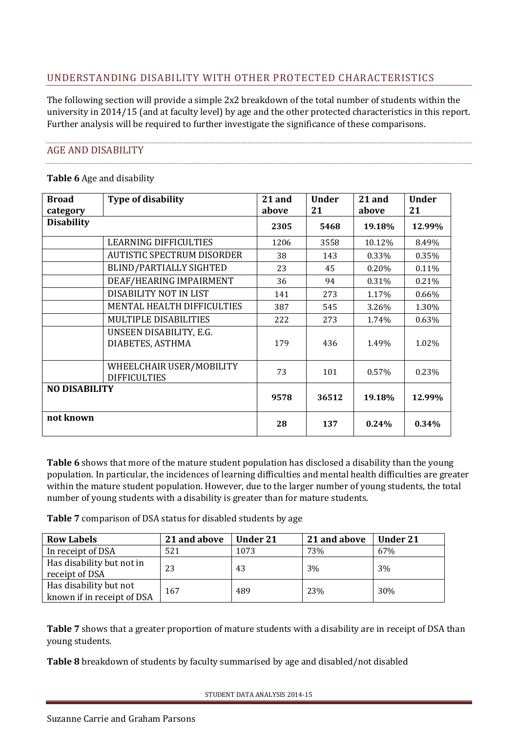# <span id="page-6-0"></span>UNDERSTANDING DISABILITY WITH OTHER PROTECTED CHARACTERISTICS

The following section will provide a simple 2x2 breakdown of the total number of students within the university in 2014/15 (and at faculty level) by age and the other protected characteristics in this report. Further analysis will be required to further investigate the significance of these comparisons.

### <span id="page-6-1"></span>AGE AND DISABILITY

#### **Table 6** Age and disability

| <b>Broad</b>         | <b>Type of disability</b>                       | 21 and | <b>Under</b> | 21 and | <b>Under</b> |
|----------------------|-------------------------------------------------|--------|--------------|--------|--------------|
| category             |                                                 | above  | 21           | above  | 21           |
| <b>Disability</b>    |                                                 | 2305   | 5468         | 19.18% | 12.99%       |
|                      | LEARNING DIFFICULTIES                           | 1206   | 3558         | 10.12% | 8.49%        |
|                      | <b>AUTISTIC SPECTRUM DISORDER</b>               | 38     | 143          | 0.33%  | 0.35%        |
|                      | <b>BLIND/PARTIALLY SIGHTED</b>                  | 23     | 45           | 0.20%  | 0.11%        |
|                      | DEAF/HEARING IMPAIRMENT                         | 36     | 94           | 0.31%  | 0.21%        |
|                      | DISABILITY NOT IN LIST                          | 141    | 273          | 1.17%  | 0.66%        |
|                      | MENTAL HEALTH DIFFICULTIES                      | 387    | 545          | 3.26%  | 1.30%        |
|                      | MULTIPLE DISABILITIES                           | 222    | 273          | 1.74%  | 0.63%        |
|                      | UNSEEN DISABILITY, E.G.<br>DIABETES, ASTHMA     | 179    | 436          | 1.49%  | 1.02%        |
|                      | WHEELCHAIR USER/MOBILITY<br><b>DIFFICULTIES</b> | 73     | 101          | 0.57%  | 0.23%        |
| <b>NO DISABILITY</b> |                                                 | 9578   | 36512        | 19.18% | 12.99%       |
| not known            |                                                 | 28     | 137          | 0.24%  | 0.34%        |

**Table 6** shows that more of the mature student population has disclosed a disability than the young population. In particular, the incidences of learning difficulties and mental health difficulties are greater within the mature student population. However, due to the larger number of young students, the total number of young students with a disability is greater than for mature students.

**Table 7** comparison of DSA status for disabled students by age

| <b>Row Labels</b>                                    | 21 and above | <b>Under 21</b> | 21 and above | <b>Under 21</b> |
|------------------------------------------------------|--------------|-----------------|--------------|-----------------|
| In receipt of DSA                                    | 521          | 1073            | 73%          | 67%             |
| Has disability but not in<br>receipt of DSA          | 23           | 43              | 3%           | 3%              |
| Has disability but not<br>known if in receipt of DSA | 167          | 489             | 23%          | 30%             |

**Table 7** shows that a greater proportion of mature students with a disability are in receipt of DSA than young students.

**Table 8** breakdown of students by faculty summarised by age and disabled/not disabled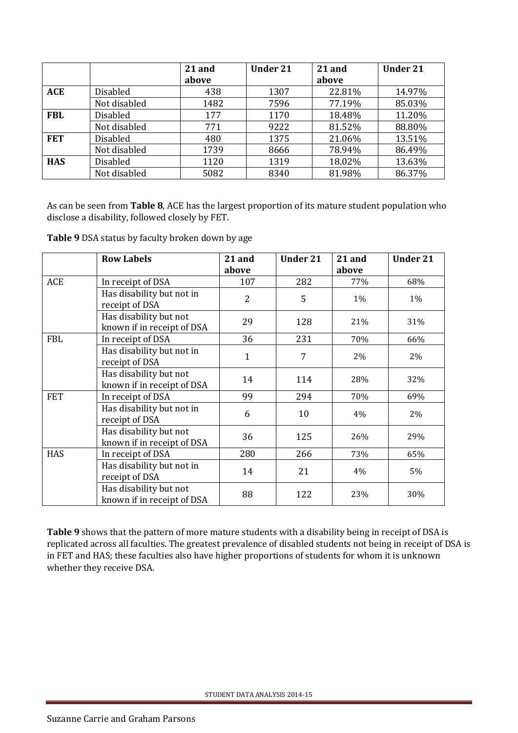|            |                 | 21 and | <b>Under 21</b> | 21 and | <b>Under 21</b> |
|------------|-----------------|--------|-----------------|--------|-----------------|
|            |                 | above  |                 | above  |                 |
| <b>ACE</b> | <b>Disabled</b> | 438    | 1307            | 22.81% | 14.97%          |
|            | Not disabled    | 1482   | 7596            | 77.19% | 85.03%          |
| <b>FBL</b> | <b>Disabled</b> | 177    | 1170            | 18.48% | 11.20%          |
|            | Not disabled    | 771    | 9222            | 81.52% | 88.80%          |
| <b>FET</b> | <b>Disabled</b> | 480    | 1375            | 21.06% | 13.51%          |
|            | Not disabled    | 1739   | 8666            | 78.94% | 86.49%          |
| <b>HAS</b> | <b>Disabled</b> | 1120   | 1319            | 18.02% | 13.63%          |
|            | Not disabled    | 5082   | 8340            | 81.98% | 86.37%          |

As can be seen from **Table 8**, ACE has the largest proportion of its mature student population who disclose a disability, followed closely by FET.

**Table 9** DSA status by faculty broken down by age

|            | <b>Row Labels</b>          | 21 and         | <b>Under 21</b> | 21 and | <b>Under 21</b> |
|------------|----------------------------|----------------|-----------------|--------|-----------------|
|            |                            | above          |                 | above  |                 |
| ACE        | In receipt of DSA          | 107            | 282             | 77%    | 68%             |
|            | Has disability but not in  | $\overline{2}$ | 5               | 1%     | $1\%$           |
|            | receipt of DSA             |                |                 |        |                 |
|            | Has disability but not     | 29             | 128             | 21%    | 31%             |
|            | known if in receipt of DSA |                |                 |        |                 |
| <b>FBL</b> | In receipt of DSA          | 36             | 231             | 70%    | 66%             |
|            | Has disability but not in  | 1              | 7               | 2%     | 2%              |
|            | receipt of DSA             |                |                 |        |                 |
|            | Has disability but not     | 14             | 114             | 28%    | 32%             |
|            | known if in receipt of DSA |                |                 |        |                 |
| <b>FET</b> | In receipt of DSA          | 99             | 294             | 70%    | 69%             |
|            | Has disability but not in  | 6              | 10              | 4%     | 2%              |
|            | receipt of DSA             |                |                 |        |                 |
|            | Has disability but not     | 36             | 125             | 26%    | 29%             |
|            | known if in receipt of DSA |                |                 |        |                 |
| <b>HAS</b> | In receipt of DSA          | 280            | 266             | 73%    | 65%             |
|            | Has disability but not in  | 14             | 21              | 4%     | 5%              |
|            | receipt of DSA             |                |                 |        |                 |
|            | Has disability but not     | 88             | 122             | 23%    | 30%             |
|            | known if in receipt of DSA |                |                 |        |                 |

**Table 9** shows that the pattern of more mature students with a disability being in receipt of DSA is replicated across all faculties. The greatest prevalence of disabled students not being in receipt of DSA is in FET and HAS; these faculties also have higher proportions of students for whom it is unknown whether they receive DSA.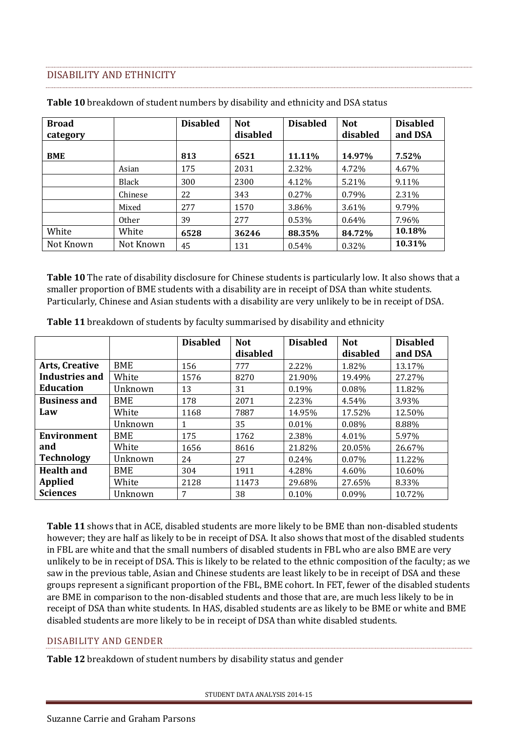### <span id="page-8-0"></span>DISABILITY AND ETHNICITY

| <b>Broad</b><br>category |           | <b>Disabled</b> | <b>Not</b><br>disabled | <b>Disabled</b> | <b>Not</b><br>disabled | <b>Disabled</b><br>and DSA |
|--------------------------|-----------|-----------------|------------------------|-----------------|------------------------|----------------------------|
| <b>BME</b>               |           | 813             | 6521                   | 11.11%          | 14.97%                 | 7.52%                      |
|                          | Asian     | 175             | 2031                   | 2.32%           | 4.72%                  | 4.67%                      |
|                          | Black     | 300             | 2300                   | 4.12%           | 5.21%                  | 9.11%                      |
|                          | Chinese   | 22              | 343                    | 0.27%           | 0.79%                  | 2.31%                      |
|                          | Mixed     | 277             | 1570                   | 3.86%           | 3.61%                  | 9.79%                      |
|                          | Other     | 39              | 277                    | 0.53%           | 0.64%                  | 7.96%                      |
| White                    | White     | 6528            | 36246                  | 88.35%          | 84.72%                 | 10.18%                     |
| Not Known                | Not Known | 45              | 131                    | 0.54%           | 0.32%                  | 10.31%                     |

**Table 10** breakdown of student numbers by disability and ethnicity and DSA status

**Table 10** The rate of disability disclosure for Chinese students is particularly low. It also shows that a smaller proportion of BME students with a disability are in receipt of DSA than white students. Particularly, Chinese and Asian students with a disability are very unlikely to be in receipt of DSA.

|                       |         | <b>Disabled</b> | <b>Not</b><br>disabled | <b>Disabled</b> | <b>Not</b><br>disabled | <b>Disabled</b><br>and DSA |
|-----------------------|---------|-----------------|------------------------|-----------------|------------------------|----------------------------|
| <b>Arts, Creative</b> | BME     | 156             | 777                    | 2.22%           | 1.82%                  | 13.17%                     |
| Industries and        | White   | 1576            | 8270                   | 21.90%          | 19.49%                 | 27.27%                     |
| <b>Education</b>      | Unknown | 13              | 31                     | 0.19%           | 0.08%                  | 11.82%                     |
| <b>Business and</b>   | BME     | 178             | 2071                   | 2.23%           | 4.54%                  | 3.93%                      |
| Law                   | White   | 1168            | 7887                   | 14.95%          | 17.52%                 | 12.50%                     |
|                       | Unknown |                 | 35                     | 0.01%           | 0.08%                  | 8.88%                      |
| Environment           | BME     | 175             | 1762                   | 2.38%           | 4.01%                  | 5.97%                      |
| and                   | White   | 1656            | 8616                   | 21.82%          | 20.05%                 | 26.67%                     |
| <b>Technology</b>     | Unknown | 24              | 27                     | 0.24%           | 0.07%                  | 11.22%                     |
| <b>Health and</b>     | BME     | 304             | 1911                   | 4.28%           | 4.60%                  | 10.60%                     |
| <b>Applied</b>        | White   | 2128            | 11473                  | 29.68%          | 27.65%                 | 8.33%                      |
| <b>Sciences</b>       | Unknown | 7               | 38                     | 0.10%           | 0.09%                  | 10.72%                     |

**Table 11** breakdown of students by faculty summarised by disability and ethnicity

**Table 11** shows that in ACE, disabled students are more likely to be BME than non-disabled students however; they are half as likely to be in receipt of DSA. It also shows that most of the disabled students in FBL are white and that the small numbers of disabled students in FBL who are also BME are very unlikely to be in receipt of DSA. This is likely to be related to the ethnic composition of the faculty; as we saw in the previous table, Asian and Chinese students are least likely to be in receipt of DSA and these groups represent a significant proportion of the FBL, BME cohort. In FET, fewer of the disabled students are BME in comparison to the non-disabled students and those that are, are much less likely to be in receipt of DSA than white students. In HAS, disabled students are as likely to be BME or white and BME disabled students are more likely to be in receipt of DSA than white disabled students.

### DISABILITY AND GENDER

**Table 12** breakdown of student numbers by disability status and gender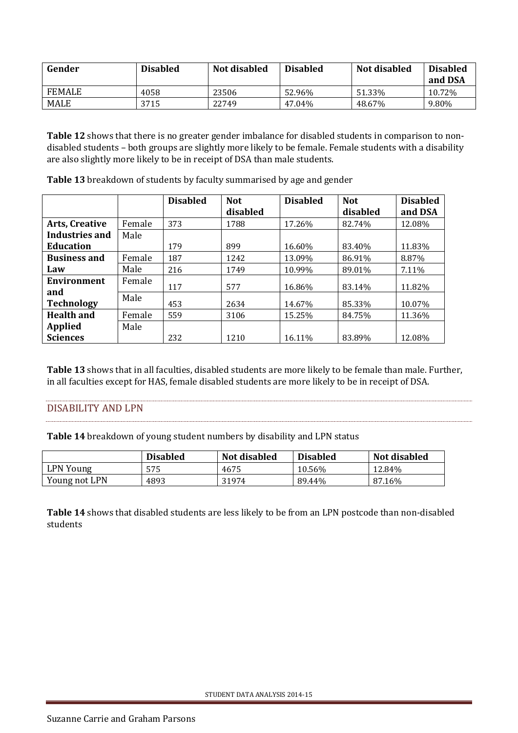| Gender        | <b>Disabled</b> | Not disabled | <b>Disabled</b> | Not disabled | <b>Disabled</b><br>and DSA |
|---------------|-----------------|--------------|-----------------|--------------|----------------------------|
| <b>FEMALE</b> | 4058            | 23506        | 52.96%          | 51.33%       | 10.72%                     |
| <b>MALE</b>   | 3715            | 22749        | 47.04%          | 48.67%       | 9.80%                      |

**Table 12** shows that there is no greater gender imbalance for disabled students in comparison to nondisabled students – both groups are slightly more likely to be female. Female students with a disability are also slightly more likely to be in receipt of DSA than male students.

|                       |        | <b>Disabled</b> | <b>Not</b> | <b>Disabled</b> | <b>Not</b> | <b>Disabled</b> |
|-----------------------|--------|-----------------|------------|-----------------|------------|-----------------|
|                       |        |                 | disabled   |                 | disabled   | and DSA         |
| <b>Arts, Creative</b> | Female | 373             | 1788       | 17.26%          | 82.74%     | 12.08%          |
| <b>Industries and</b> | Male   |                 |            |                 |            |                 |
| <b>Education</b>      |        | 179             | 899        | 16.60%          | 83.40%     | 11.83%          |
| <b>Business and</b>   | Female | 187             | 1242       | 13.09%          | 86.91%     | 8.87%           |
| Law                   | Male   | 216             | 1749       | 10.99%          | 89.01%     | 7.11%           |
| Environment           | Female | 117             | 577        | 16.86%          | 83.14%     | 11.82%          |
| and                   | Male   |                 |            |                 |            |                 |
| <b>Technology</b>     |        | 453             | 2634       | 14.67%          | 85.33%     | 10.07%          |
| <b>Health and</b>     | Female | 559             | 3106       | 15.25%          | 84.75%     | 11.36%          |
| <b>Applied</b>        | Male   |                 |            |                 |            |                 |
| <b>Sciences</b>       |        | 232             | 1210       | 16.11%          | 83.89%     | 12.08%          |

**Table 13** breakdown of students by faculty summarised by age and gender

**Table 13** shows that in all faculties, disabled students are more likely to be female than male. Further, in all faculties except for HAS, female disabled students are more likely to be in receipt of DSA.

### <span id="page-9-0"></span>DISABILITY AND LPN

**Table 14** breakdown of young student numbers by disability and LPN status

|               | <b>Disabled</b> | Not disabled | <b>Disabled</b> | <b>Not disabled</b> |
|---------------|-----------------|--------------|-----------------|---------------------|
| LPN Young     | 575             | 4675         | 10.56%          | 12.84%              |
| Young not LPN | 4893            | 31974        | 89.44%          | 87.16%              |

**Table 14** shows that disabled students are less likely to be from an LPN postcode than non-disabled students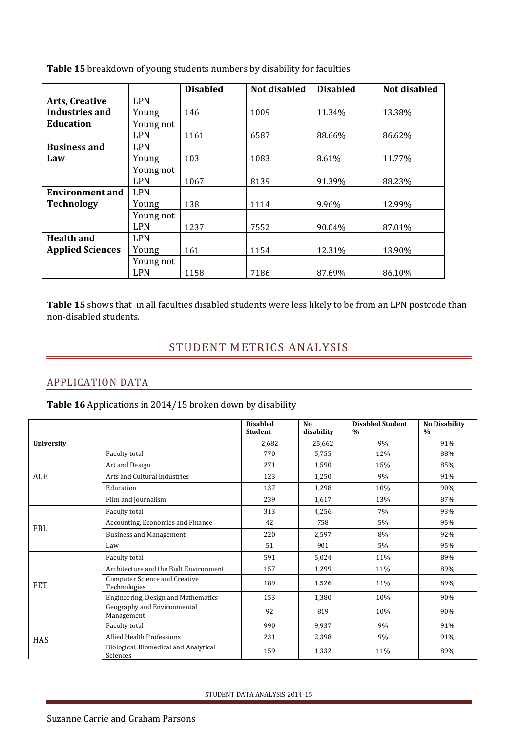|                         |            | <b>Disabled</b> | <b>Not disabled</b> | <b>Disabled</b> | Not disabled |
|-------------------------|------------|-----------------|---------------------|-----------------|--------------|
| <b>Arts, Creative</b>   | <b>LPN</b> |                 |                     |                 |              |
| Industries and          | Young      | 146             | 1009                | 11.34%          | 13.38%       |
| Education               | Young not  |                 |                     |                 |              |
|                         | <b>LPN</b> | 1161            | 6587                | 88.66%          | 86.62%       |
| <b>Business and</b>     | <b>LPN</b> |                 |                     |                 |              |
| Law                     | Young      | 103             | 1083                | 8.61%           | 11.77%       |
|                         | Young not  |                 |                     |                 |              |
|                         | <b>LPN</b> | 1067            | 8139                | 91.39%          | 88.23%       |
| <b>Environment and</b>  | <b>LPN</b> |                 |                     |                 |              |
| <b>Technology</b>       | Young      | 138             | 1114                | 9.96%           | 12.99%       |
|                         | Young not  |                 |                     |                 |              |
|                         | <b>LPN</b> | 1237            | 7552                | 90.04%          | 87.01%       |
| <b>Health and</b>       | <b>LPN</b> |                 |                     |                 |              |
| <b>Applied Sciences</b> | Young      | 161             | 1154                | 12.31%          | 13.90%       |
|                         | Young not  |                 |                     |                 |              |
|                         | <b>LPN</b> | 1158            | 7186                | 87.69%          | 86.10%       |

**Table 15** breakdown of young students numbers by disability for faculties

<span id="page-10-0"></span>**Table 15** shows that in all faculties disabled students were less likely to be from an LPN postcode than non-disabled students.

# STUDENT METRICS ANALYSIS

### <span id="page-10-1"></span>APPLICATION DATA

**Table 16** Applications in 2014/15 broken down by disability

|                   |                                                      | <b>Disabled</b><br><b>Student</b> | N <sub>0</sub><br>disability | <b>Disabled Student</b><br>$\frac{0}{0}$ | <b>No Disability</b><br>$\%$ |
|-------------------|------------------------------------------------------|-----------------------------------|------------------------------|------------------------------------------|------------------------------|
| <b>University</b> |                                                      | 2,682                             | 25,662                       | 9%                                       | 91%                          |
|                   | Faculty total                                        | 770                               | 5,755                        | 12%                                      | 88%                          |
|                   | Art and Design                                       | 271                               | 1,590                        | 15%                                      | 85%                          |
| ACE               | Arts and Cultural Industries                         | 123                               | 1,250                        | 9%                                       | 91%                          |
|                   | Education                                            | 137                               | 1,298                        | 10%                                      | 90%                          |
|                   | Film and Journalism                                  | 239                               | 1,617                        | 13%                                      | 87%                          |
|                   | Faculty total                                        | 313                               | 4,256                        | 7%                                       | 93%                          |
|                   | Accounting, Economics and Finance                    | 42                                | 758                          | 5%                                       | 95%                          |
| <b>FBL</b>        | <b>Business and Management</b>                       | 220                               | 2,597                        | 8%                                       | 92%                          |
|                   | Law                                                  | 51                                | 901                          | 5%                                       | 95%                          |
|                   | Faculty total                                        | 591                               | 5,024                        | 11%                                      | 89%                          |
|                   | Architecture and the Built Environment               | 157                               | 1,299                        | 11%                                      | 89%                          |
| <b>FET</b>        | <b>Computer Science and Creative</b><br>Technologies | 189                               | 1,526                        | 11%                                      | 89%                          |
|                   | Engineering, Design and Mathematics                  | 153                               | 1,380                        | 10%                                      | 90%                          |
|                   | Geography and Environmental<br>Management            | 92                                | 819                          | 10%                                      | 90%                          |
|                   | Faculty total                                        | 990                               | 9,937                        | 9%                                       | 91%                          |
| <b>HAS</b>        | <b>Allied Health Professions</b>                     | 231                               | 2,398                        | 9%                                       | 91%                          |
|                   | Biological, Biomedical and Analytical<br>Sciences    | 159                               | 1,332                        | 11%                                      | 89%                          |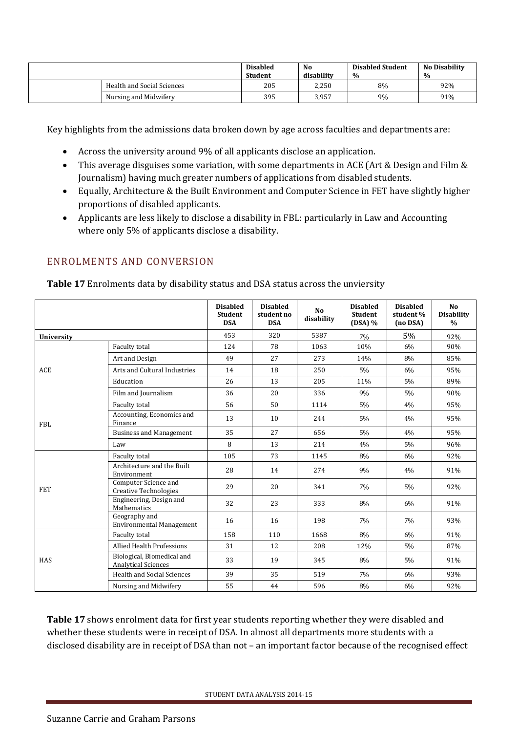|                            | <b>Disabled</b><br><b>Student</b> | No.<br>disability | <b>Disabled Student</b><br>$\%$ | <b>No Disability</b><br>$\frac{0}{0}$ |
|----------------------------|-----------------------------------|-------------------|---------------------------------|---------------------------------------|
| Health and Social Sciences | 205                               | 2,250             | 8%                              | 92%                                   |
| Nursing and Midwifery      | 395                               | 3.957             | 9%                              | 91%                                   |

Key highlights from the admissions data broken down by age across faculties and departments are:

- Across the university around 9% of all applicants disclose an application.
- This average disguises some variation, with some departments in ACE (Art & Design and Film & Journalism) having much greater numbers of applications from disabled students.
- Equally, Architecture & the Built Environment and Computer Science in FET have slightly higher proportions of disabled applicants.
- Applicants are less likely to disclose a disability in FBL: particularly in Law and Accounting where only 5% of applicants disclose a disability.

## <span id="page-11-0"></span>ENROLMENTS AND CONVERSION

| Table 17 Enrolments data by disability status and DSA status across the unviersity |  |  |
|------------------------------------------------------------------------------------|--|--|
|------------------------------------------------------------------------------------|--|--|

|            |                                                          | <b>Disabled</b><br><b>Student</b><br><b>DSA</b> | <b>Disabled</b><br>student no<br><b>DSA</b> | N <sub>0</sub><br>disability | <b>Disabled</b><br><b>Student</b><br>$(DSA)$ % | <b>Disabled</b><br>student %<br>(no DSA) | No<br><b>Disability</b><br>$\frac{0}{0}$ |
|------------|----------------------------------------------------------|-------------------------------------------------|---------------------------------------------|------------------------------|------------------------------------------------|------------------------------------------|------------------------------------------|
| University |                                                          | 453                                             | 320                                         | 5387                         | 7%                                             | 5%                                       | 92%                                      |
|            | Faculty total                                            | 124                                             | 78                                          | 1063                         | 10%                                            | 6%                                       | 90%                                      |
|            | Art and Design                                           | 49                                              | 27                                          | 273                          | 14%                                            | 8%                                       | 85%                                      |
| ACE        | Arts and Cultural Industries                             | 14                                              | 18                                          | 250                          | 5%                                             | 6%                                       | 95%                                      |
|            | Education                                                | 26                                              | 13                                          | 205                          | 11%                                            | 5%                                       | 89%                                      |
|            | Film and Journalism                                      | 36                                              | 20                                          | 336                          | 9%                                             | $5\%$                                    | 90%                                      |
|            | Faculty total                                            | 56                                              | 50                                          | 1114                         | 5%                                             | 4%                                       | 95%                                      |
| <b>FBL</b> | Accounting, Economics and<br>Finance                     | 13                                              | 10                                          | 244                          | 5%                                             | 4%                                       | 95%                                      |
|            | <b>Business and Management</b>                           | 35                                              | 27                                          | 656                          | 5%                                             | 4%                                       | 95%                                      |
|            | Law                                                      | 8                                               | 13                                          | 214                          | 4%                                             | 5%                                       | 96%                                      |
|            | Faculty total                                            | 105                                             | 73                                          | 1145                         | 8%                                             | 6%                                       | 92%                                      |
|            | Architecture and the Built<br>Environment                | 28                                              | 14                                          | 274                          | 9%                                             | 4%                                       | 91%                                      |
| <b>FET</b> | Computer Science and<br><b>Creative Technologies</b>     | 29                                              | 20                                          | 341                          | 7%                                             | $5\%$                                    | 92%                                      |
|            | Engineering, Design and<br><b>Mathematics</b>            | 32                                              | 23                                          | 333                          | 8%                                             | 6%                                       | 91%                                      |
|            | Geography and<br><b>Environmental Management</b>         | 16                                              | 16                                          | 198                          | 7%                                             | 7%                                       | 93%                                      |
|            | Faculty total                                            | 158                                             | 110                                         | 1668                         | 8%                                             | 6%                                       | 91%                                      |
| <b>HAS</b> | <b>Allied Health Professions</b>                         | 31                                              | 12                                          | 208                          | 12%                                            | 5%                                       | 87%                                      |
|            | Biological, Biomedical and<br><b>Analytical Sciences</b> | 33                                              | 19                                          | 345                          | 8%                                             | 5%                                       | 91%                                      |
|            | Health and Social Sciences                               | 39                                              | 35                                          | 519                          | 7%                                             | 6%                                       | 93%                                      |
|            | Nursing and Midwifery                                    | 55                                              | 44                                          | 596                          | 8%                                             | 6%                                       | 92%                                      |

**Table 17** shows enrolment data for first year students reporting whether they were disabled and whether these students were in receipt of DSA. In almost all departments more students with a disclosed disability are in receipt of DSA than not – an important factor because of the recognised effect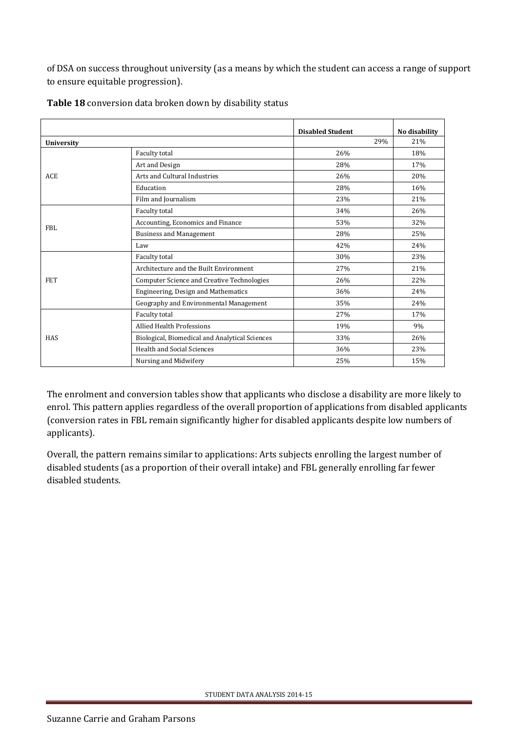of DSA on success throughout university (as a means by which the student can access a range of support to ensure equitable progression).

|            |                                                | <b>Disabled Student</b> | No disability |
|------------|------------------------------------------------|-------------------------|---------------|
| University |                                                | 29%                     | 21%           |
|            | Faculty total                                  | 26%                     | 18%           |
|            | Art and Design                                 | 28%                     | 17%           |
| <b>ACE</b> | Arts and Cultural Industries                   | 26%                     | 20%           |
|            | Education                                      | 28%                     | 16%           |
|            | Film and Journalism                            | 23%                     | 21%           |
| FBL        | Faculty total                                  | 34%                     | 26%           |
|            | Accounting, Economics and Finance              | 53%                     | 32%           |
|            | <b>Business and Management</b>                 | 28%                     | 25%           |
|            | Law                                            | 42%                     | 24%           |
|            | Faculty total                                  | 30%                     | 23%           |
|            | Architecture and the Built Environment         | 27%                     | 21%           |
| <b>FET</b> | Computer Science and Creative Technologies     | 26%                     | 22%           |
|            | Engineering, Design and Mathematics            | 36%                     | 24%           |
|            | Geography and Environmental Management         | 35%                     | 24%           |
|            | Faculty total                                  | 27%                     | 17%           |
|            | <b>Allied Health Professions</b>               | 19%                     | 9%            |
| <b>HAS</b> | Biological, Biomedical and Analytical Sciences | 33%                     | 26%           |
|            | <b>Health and Social Sciences</b>              | 36%                     | 23%           |
|            | Nursing and Midwifery                          | 25%                     | 15%           |

**Table 18** conversion data broken down by disability status

The enrolment and conversion tables show that applicants who disclose a disability are more likely to enrol. This pattern applies regardless of the overall proportion of applications from disabled applicants (conversion rates in FBL remain significantly higher for disabled applicants despite low numbers of applicants).

Overall, the pattern remains similar to applications: Arts subjects enrolling the largest number of disabled students (as a proportion of their overall intake) and FBL generally enrolling far fewer disabled students.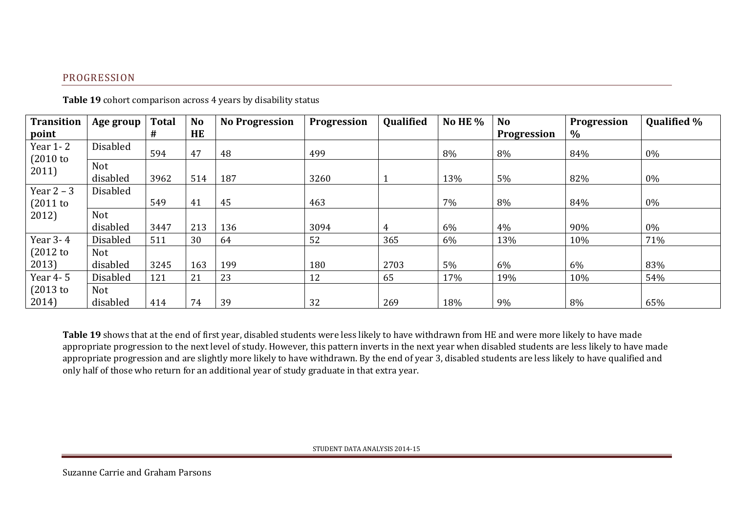## PROGRESSION

| <b>Transition</b>          | Age group              | <b>Total</b> | <b>No</b> | <b>No Progression</b> | <b>Progression</b> | <b>Qualified</b> | No HE $%$ | <b>No</b>   | <b>Progression</b> | <b>Qualified %</b> |
|----------------------------|------------------------|--------------|-----------|-----------------------|--------------------|------------------|-----------|-------------|--------------------|--------------------|
| point                      |                        | #            | HE        |                       |                    |                  |           | Progression | $\%$               |                    |
| Year 1-2<br>(2010)         | <b>Disabled</b>        | 594          | 47        | 48                    | 499                |                  | 8%        | 8%          | 84%                | $0\%$              |
| 2011)                      | <b>Not</b><br>disabled | 3962         | 514       | 187                   | 3260               |                  | 13%       | 5%          | 82%                | $0\%$              |
| Year $2 - 3$<br>$(2011$ to | Disabled               | 549          | 41        | 45                    | 463                |                  | 7%        | 8%          | 84%                | $0\%$              |
| 2012)                      | <b>Not</b><br>disabled | 3447         | 213       | 136                   | 3094               | 4                | 6%        | 4%          | 90%                | $0\%$              |
| Year 3-4                   | <b>Disabled</b>        | 511          | 30        | 64                    | 52                 | 365              | 6%        | 13%         | 10%                | 71%                |
| $(2012$ to                 | <b>Not</b>             |              |           |                       |                    |                  |           |             |                    |                    |
| 2013)                      | disabled               | 3245         | 163       | 199                   | 180                | 2703             | 5%        | 6%          | 6%                 | 83%                |
| Year 4-5                   | Disabled               | 121          | 21        | 23                    | 12                 | 65               | 17%       | 19%         | 10%                | 54%                |
| $(2013$ to                 | Not                    |              |           |                       |                    |                  |           |             |                    |                    |
| 2014)                      | disabled               | 414          | 74        | 39                    | 32                 | 269              | 18%       | 9%          | 8%                 | 65%                |

**Table 19** cohort comparison across 4 years by disability status

<span id="page-13-0"></span>**Table 19** shows that at the end of first year, disabled students were less likely to have withdrawn from HE and were more likely to have made appropriate progression to the next level of study. However, this pattern inverts in the next year when disabled students are less likely to have made appropriate progression and are slightly more likely to have withdrawn. By the end of year 3, disabled students are less likely to have qualified and only half of those who return for an additional year of study graduate in that extra year.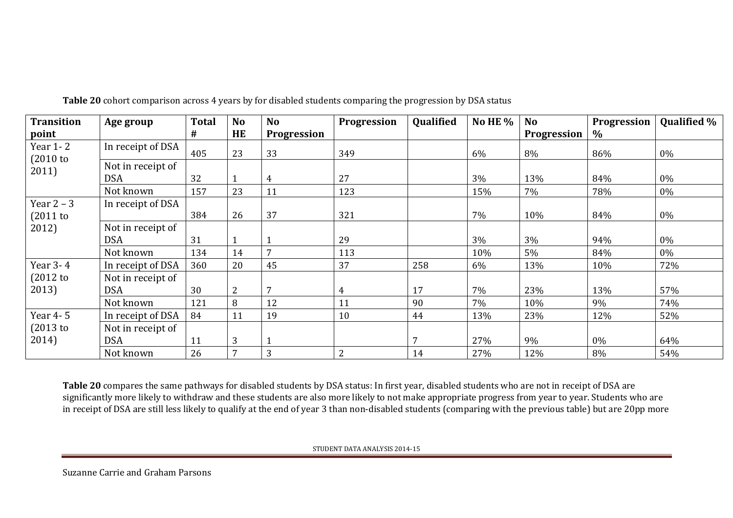| <b>Transition</b>  | Age group         | <b>Total</b> | N <sub>o</sub> | <b>No</b>       | Progression    | <b>Qualified</b> | No HE $%$ | N <sub>o</sub>     | <b>Progression</b> | <b>Qualified %</b> |
|--------------------|-------------------|--------------|----------------|-----------------|----------------|------------------|-----------|--------------------|--------------------|--------------------|
| point              |                   | #            | <b>HE</b>      | Progression     |                |                  |           | <b>Progression</b> | $\%$               |                    |
| Year 1-2<br>(2010) | In receipt of DSA | 405          | 23             | 33              | 349            |                  | 6%        | 8%                 | 86%                | 0%                 |
| 2011)              | Not in receipt of |              |                |                 |                |                  |           |                    |                    |                    |
|                    | <b>DSA</b>        | 32           |                | $\overline{4}$  | 27             |                  | 3%        | 13%                | 84%                | 0%                 |
|                    | Not known         | 157          | 23             | 11              | 123            |                  | 15%       | 7%                 | 78%                | 0%                 |
| Year $2 - 3$       | In receipt of DSA |              |                |                 |                |                  |           |                    |                    |                    |
| $(2011$ to         |                   | 384          | 26             | 37              | 321            |                  | 7%        | 10%                | 84%                | $0\%$              |
| 2012)              | Not in receipt of |              |                |                 |                |                  |           |                    |                    |                    |
|                    | <b>DSA</b>        | 31           |                |                 | 29             |                  | 3%        | 3%                 | 94%                | 0%                 |
|                    | Not known         | 134          | 14             | $7\phantom{.0}$ | 113            |                  | 10%       | 5%                 | 84%                | 0%                 |
| Year 3-4           | In receipt of DSA | 360          | 20             | 45              | 37             | 258              | 6%        | 13%                | 10%                | 72%                |
| $(2012$ to         | Not in receipt of |              |                |                 |                |                  |           |                    |                    |                    |
| 2013)              | <b>DSA</b>        | 30           | 2              | $7\phantom{.0}$ | 4              | 17               | 7%        | 23%                | 13%                | 57%                |
|                    | Not known         | 121          | 8              | 12              | 11             | 90               | 7%        | 10%                | 9%                 | 74%                |
| Year 4-5           | In receipt of DSA | 84           | 11             | 19              | 10             | 44               | 13%       | 23%                | 12%                | 52%                |
| (2013)             | Not in receipt of |              |                |                 |                |                  |           |                    |                    |                    |
| 2014)              | <b>DSA</b>        | 11           | 3              |                 |                |                  | 27%       | 9%                 | 0%                 | 64%                |
|                    | Not known         | 26           | 7              | 3               | $\overline{2}$ | 14               | 27%       | 12%                | 8%                 | 54%                |

**Table 20** cohort comparison across 4 years by for disabled students comparing the progression by DSA status

**Table 20** compares the same pathways for disabled students by DSA status: In first year, disabled students who are not in receipt of DSA are significantly more likely to withdraw and these students are also more likely to not make appropriate progress from year to year. Students who are in receipt of DSA are still less likely to qualify at the end of year 3 than non-disabled students (comparing with the previous table) but are 20pp more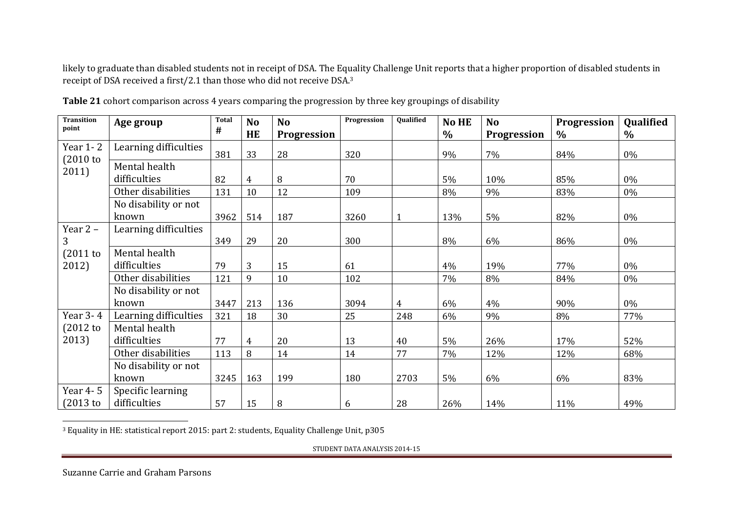likely to graduate than disabled students not in receipt of DSA. The Equality Challenge Unit reports that a higher proportion of disabled students in receipt of DSA received a first/2.1 than those who did not receive DSA.<sup>3</sup>

| <b>Transition</b><br>point     | Age group             | <b>Total</b> | N <sub>o</sub> | <b>No</b>          | Progression | Qualified      | No HE         | <b>No</b>          | <b>Progression</b> | Qualified     |
|--------------------------------|-----------------------|--------------|----------------|--------------------|-------------|----------------|---------------|--------------------|--------------------|---------------|
|                                |                       | #            | HE             | <b>Progression</b> |             |                | $\frac{0}{0}$ | <b>Progression</b> | $\%$               | $\frac{0}{0}$ |
| <b>Year 1-2</b><br>$(2010)$ to | Learning difficulties | 381          | 33             | 28                 | 320         |                | 9%            | 7%                 | 84%                | 0%            |
| 2011)                          | Mental health         |              |                |                    |             |                |               |                    |                    |               |
|                                | difficulties          | 82           | 4              | 8                  | 70          |                | 5%            | 10%                | 85%                | 0%            |
|                                | Other disabilities    | 131          | 10             | 12                 | 109         |                | 8%            | 9%                 | 83%                | 0%            |
|                                | No disability or not  |              |                |                    |             |                |               |                    |                    |               |
|                                | known                 | 3962         | 514            | 187                | 3260        | $\mathbf{1}$   | 13%           | 5%                 | 82%                | 0%            |
| Year $2 -$                     | Learning difficulties |              |                |                    |             |                |               |                    |                    |               |
| 3                              |                       | 349          | 29             | 20                 | 300         |                | 8%            | 6%                 | 86%                | 0%            |
| $(2011$ to                     | Mental health         |              |                |                    |             |                |               |                    |                    |               |
| 2012)                          | difficulties          | 79           | 3              | 15                 | 61          |                | 4%            | 19%                | 77%                | 0%            |
|                                | Other disabilities    | 121          | 9              | 10                 | 102         |                | 7%            | 8%                 | 84%                | 0%            |
|                                | No disability or not  |              |                |                    |             |                |               |                    |                    |               |
|                                | known                 | 3447         | 213            | 136                | 3094        | $\overline{4}$ | 6%            | 4%                 | 90%                | 0%            |
| Year 3-4                       | Learning difficulties | 321          | 18             | 30                 | 25          | 248            | 6%            | 9%                 | 8%                 | 77%           |
| $(2012$ to                     | Mental health         |              |                |                    |             |                |               |                    |                    |               |
| 2013)                          | difficulties          | 77           | 4              | 20                 | 13          | 40             | 5%            | 26%                | 17%                | 52%           |
|                                | Other disabilities    | 113          | 8              | 14                 | 14          | 77             | 7%            | 12%                | 12%                | 68%           |
|                                | No disability or not  |              |                |                    |             |                |               |                    |                    |               |
|                                | known                 | 3245         | 163            | 199                | 180         | 2703           | 5%            | 6%                 | 6%                 | 83%           |
| Year 4-5                       | Specific learning     |              |                |                    |             |                |               |                    |                    |               |
| $(2013$ to                     | difficulties          | 57           | 15             | 8                  | 6           | 28             | 26%           | 14%                | 11%                | 49%           |

**Table 21** cohort comparison across 4 years comparing the progression by three key groupings of disability

 $3$  Equality in HE: statistical report 2015: part 2: students, Equality Challenge Unit, p305

STUDENT DATA ANALYSIS 2014-15

l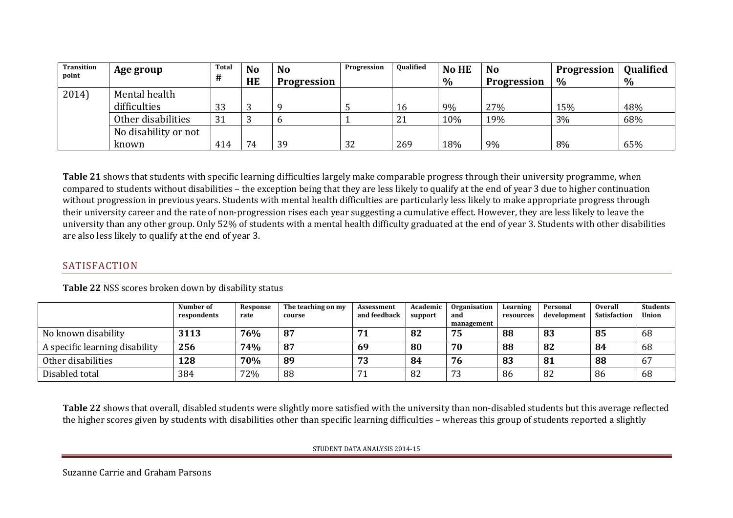| <b>Transition</b> | Age group            | Total | <b>No</b> | <b>No</b>          | Progression | <b>Oualified</b> | <b>No HE</b> | <b>No</b>          | <b>Progression</b> | <b>Qualified</b> |
|-------------------|----------------------|-------|-----------|--------------------|-------------|------------------|--------------|--------------------|--------------------|------------------|
| point             |                      | #     | HE        | <b>Progression</b> |             |                  | $\%$         | <b>Progression</b> | $\%$               | $\%$             |
| 2014)             | Mental health        |       |           |                    |             |                  |              |                    |                    |                  |
|                   | difficulties         | 33    | ັ         |                    |             | 16               | 9%           | 27%                | 15%                | 48%              |
|                   | Other disabilities   | 31    |           |                    |             | 21               | 10%          | 19%                | 3%                 | 68%              |
|                   | No disability or not |       |           |                    |             |                  |              |                    |                    |                  |
|                   | known                | 414   | 74        | 39                 | 32          | 269              | 18%          | 9%                 | 8%                 | 65%              |

**Table 21** shows that students with specific learning difficulties largely make comparable progress through their university programme, when compared to students without disabilities – the exception being that they are less likely to qualify at the end of year 3 due to higher continuation without progression in previous years. Students with mental health difficulties are particularly less likely to make appropriate progress through their university career and the rate of non-progression rises each year suggesting a cumulative effect. However, they are less likely to leave the university than any other group. Only 52% of students with a mental health difficulty graduated at the end of year 3. Students with other disabilities are also less likely to qualify at the end of year 3.

### SATISFACTION

|                                | Number of<br>respondents | Response<br>rate | The teaching on my<br>course | Assessment<br>and feedback | Academic<br>support | <b>Organisation</b><br>and<br>management | Learning<br>resources | Personal<br>development | <b>Overall</b><br><b>Satisfaction</b> | <b>Students</b><br><b>Union</b> |
|--------------------------------|--------------------------|------------------|------------------------------|----------------------------|---------------------|------------------------------------------|-----------------------|-------------------------|---------------------------------------|---------------------------------|
| No known disability            | 3113                     | 76%              | 87                           | 71                         | 82                  | 75                                       | 88                    | 83                      | 85                                    | 68                              |
| A specific learning disability | 256                      | 74%              | 87                           | 69                         | 80                  | 70                                       | 88                    | 82                      | -84                                   | 68                              |
| Other disabilities             | 128                      | 70%              | 89                           | 73                         | 84                  | 76                                       | 83                    | 81                      | 88                                    | 67                              |
| Disabled total                 | 384                      | 72%              | 88                           | 71                         | 82                  | 70<br>73                                 | 86                    | 82                      | 86                                    | 68                              |

**Table 22** NSS scores broken down by disability status

<span id="page-16-0"></span>**Table 22** shows that overall, disabled students were slightly more satisfied with the university than non-disabled students but this average reflected the higher scores given by students with disabilities other than specific learning difficulties – whereas this group of students reported a slightly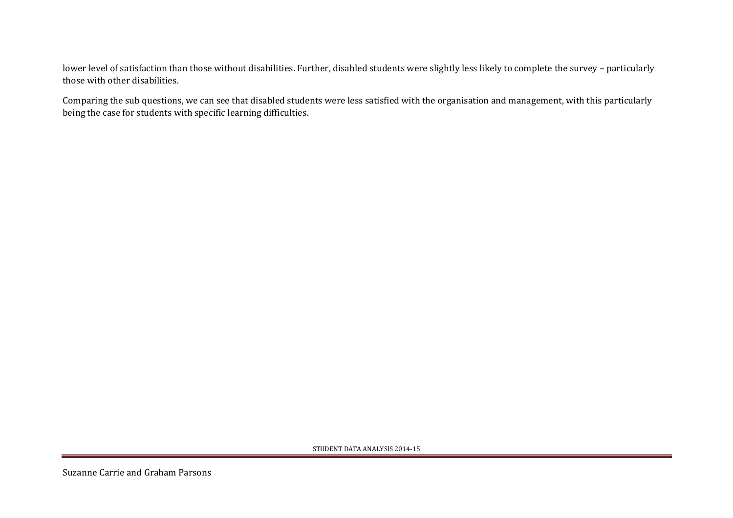lower level of satisfaction than those without disabilities. Further, disabled students were slightly less likely to complete the survey – particularly those with other disabilities.

Comparing the sub questions, we can see that disabled students were less satisfied with the organisation and management, with this particularly being the case for students with specific learning difficulties.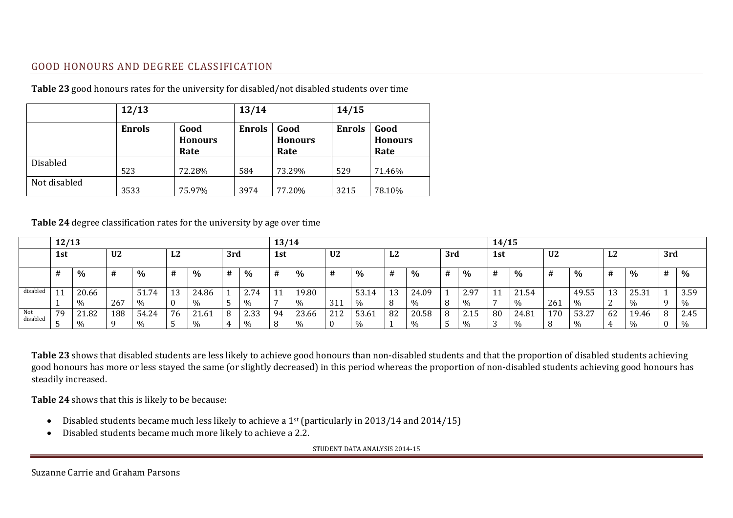### GOOD HONOURS AND DEGREE CLASSIFICATION

|              | 12/13                                           |        | 13/14         |                                | 14/15         |                                |  |
|--------------|-------------------------------------------------|--------|---------------|--------------------------------|---------------|--------------------------------|--|
|              | Good<br><b>Enrols</b><br><b>Honours</b><br>Rate |        | <b>Enrols</b> | Good<br><b>Honours</b><br>Rate | <b>Enrols</b> | Good<br><b>Honours</b><br>Rate |  |
| Disabled     | 523                                             | 72.28% | 584           | 73.29%                         | 529           | 71.46%                         |  |
| Not disabled | 3533                                            | 75.97% | 3974          | 77.20%                         | 3215          | 78.10%                         |  |

**Table 23** good honours rates for the university for disabled/not disabled students over time

#### **Table 24** degree classification rates for the university by age over time

<span id="page-18-0"></span>

|          | 12/13 |       |                |       |    |       |     |               | 13/14 |       |                |       |    |       | 14/15 |      |           |       |                |       |        |       |     |               |
|----------|-------|-------|----------------|-------|----|-------|-----|---------------|-------|-------|----------------|-------|----|-------|-------|------|-----------|-------|----------------|-------|--------|-------|-----|---------------|
|          | 1st   |       | U <sub>2</sub> |       | L2 |       | 3rd |               | 1st   |       | U <sub>2</sub> |       | L2 |       | 3rd   |      | 1st       |       | U <sub>2</sub> |       | L2     |       | 3rd |               |
|          |       | $\%$  | #              | $\%$  | #  | $\%$  | #   | $\%$          | #     | $\%$  | #              | $\%$  | #  | %     | #     | $\%$ | #         | %     | #              | $\%$  | #      | $\%$  | #   | $\%$          |
| disabled | 11    | 20.66 |                | 51.74 | 13 | 24.86 |     | 2.74          | 11    | 19.80 |                | 53.14 | 13 | 24.09 |       | 2.97 | <b>TT</b> | 21.54 |                | 49.55 | 13     | 25.31 |     | 3.59          |
|          |       | $\%$  | 267            | %     |    | $\%$  |     | $\frac{0}{0}$ |       | $\%$  | 311            | 0/2   | 8  |       | -8    | $\%$ |           | %     | 261            | $\%$  | 2<br>∼ | $\%$  |     | $\%$          |
| Not      | 79    | 21.82 | 188            | 54.24 | 76 | 21.61 | 8   | 2.33          | 94    | 23.66 | 212            | 53.61 | 82 | 20.58 | 8     | 2.15 | 80        | 24.81 | 170            | 53.27 | 62     | 19.46 |     | 2.45          |
| disabled |       | $\%$  |                | %     |    |       |     | $\%$          |       | $\%$  | $\bf{0}$       |       |    |       |       | $\%$ | ل.        | %     |                |       | 4      | $\%$  |     | $\frac{0}{0}$ |

**Table 23** shows that disabled students are less likely to achieve good honours than non-disabled students and that the proportion of disabled students achieving good honours has more or less stayed the same (or slightly decreased) in this period whereas the proportion of non-disabled students achieving good honours has steadily increased.

**Table 24** shows that this is likely to be because:

- Disabled students became much less likely to achieve a 1<sup>st</sup> (particularly in 2013/14 and 2014/15)
- Disabled students became much more likely to achieve a 2.2.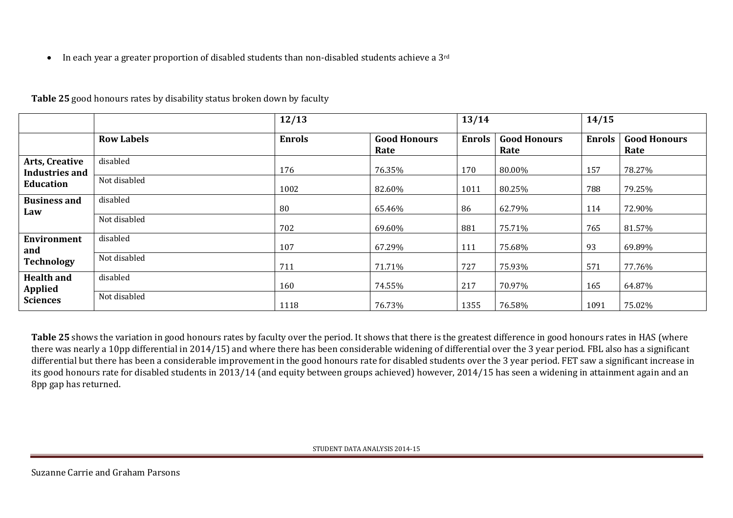$\bullet$  In each year a greater proportion of disabled students than non-disabled students achieve a 3<sup>rd</sup>

|                                                             |                   | 12/13         |                             |               |                             | 14/15         |                             |  |
|-------------------------------------------------------------|-------------------|---------------|-----------------------------|---------------|-----------------------------|---------------|-----------------------------|--|
|                                                             | <b>Row Labels</b> | <b>Enrols</b> | <b>Good Honours</b><br>Rate | <b>Enrols</b> | <b>Good Honours</b><br>Rate | <b>Enrols</b> | <b>Good Honours</b><br>Rate |  |
| Arts, Creative<br><b>Industries and</b><br><b>Education</b> | disabled          | 176           | 76.35%                      | 170           | 80.00%                      | 157           | 78.27%                      |  |
|                                                             | Not disabled      | 1002          | 82.60%                      | 1011          | 80.25%                      | 788           | 79.25%                      |  |
| <b>Business and</b><br>Law                                  | disabled          | 80            | 65.46%                      | 86            | 62.79%                      | 114           | 72.90%                      |  |
|                                                             | Not disabled      | 702           | 69.60%                      | 881           | 75.71%                      | 765           | 81.57%                      |  |
| <b>Environment</b><br>and                                   | disabled          | 107           | 67.29%                      | 111           | 75.68%                      | 93            | 69.89%                      |  |
| <b>Technology</b>                                           | Not disabled      | 711           | 71.71%                      | 727           | 75.93%                      | 571           | 77.76%                      |  |
| <b>Health and</b><br><b>Applied</b><br><b>Sciences</b>      | disabled          | 160           | 74.55%                      | 217           | 70.97%                      | 165           | 64.87%                      |  |
|                                                             | Not disabled      | 1118          | 76.73%                      | 1355          | 76.58%                      | 1091          | 75.02%                      |  |

**Table 25** good honours rates by disability status broken down by faculty

Table 25 shows the variation in good honours rates by faculty over the period. It shows that there is the greatest difference in good honours rates in HAS (where there was nearly a 10pp differential in 2014/15) and where there has been considerable widening of differential over the 3 year period. FBL also has a significant differential but there has been a considerable improvement in the good honours rate for disabled students over the 3 year period. FET saw a significant increase in its good honours rate for disabled students in 2013/14 (and equity between groups achieved) however, 2014/15 has seen a widening in attainment again and an 8pp gap has returned.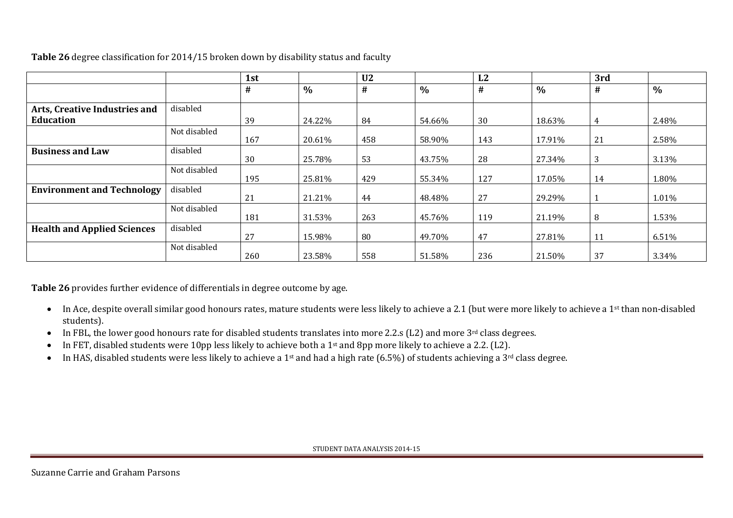|                                    |              | 1st |        | U <sub>2</sub> |        | L2  |               | 3rd |       |
|------------------------------------|--------------|-----|--------|----------------|--------|-----|---------------|-----|-------|
|                                    |              | #   | $\%$   | #              | $\%$   | #   | $\frac{0}{0}$ | #   | $\%$  |
| Arts, Creative Industries and      | disabled     |     |        |                |        |     |               |     |       |
| Education                          |              | 39  | 24.22% | 84             | 54.66% | 30  | 18.63%        | 4   | 2.48% |
|                                    | Not disabled | 167 | 20.61% | 458            | 58.90% | 143 | 17.91%        | 21  | 2.58% |
| <b>Business and Law</b>            | disabled     | 30  | 25.78% | 53             | 43.75% | 28  | 27.34%        | 3   | 3.13% |
|                                    | Not disabled | 195 | 25.81% | 429            | 55.34% | 127 | 17.05%        | 14  | 1.80% |
| <b>Environment and Technology</b>  | disabled     | 21  | 21.21% | 44             | 48.48% | 27  | 29.29%        |     | 1.01% |
|                                    | Not disabled | 181 | 31.53% | 263            | 45.76% | 119 | 21.19%        | 8   | 1.53% |
| <b>Health and Applied Sciences</b> | disabled     | 27  | 15.98% | 80             | 49.70% | 47  | 27.81%        | 11  | 6.51% |
|                                    | Not disabled | 260 | 23.58% | 558            | 51.58% | 236 | 21.50%        | 37  | 3.34% |

**Table 26** degree classification for 2014/15 broken down by disability status and faculty

**Table 26** provides further evidence of differentials in degree outcome by age.

- In Ace, despite overall similar good honours rates, mature students were less likely to achieve a 2.1 (but were more likely to achieve a 1<sup>st</sup> than non-disabled students).
- In FBL, the lower good honours rate for disabled students translates into more 2.2.s (L2) and more 3<sup>rd</sup> class degrees.
- In FET, disabled students were 10pp less likely to achieve both a 1st and 8pp more likely to achieve a 2.2. (L2).
- In HAS, disabled students were less likely to achieve a 1<sup>st</sup> and had a high rate (6.5%) of students achieving a 3<sup>rd</sup> class degree.